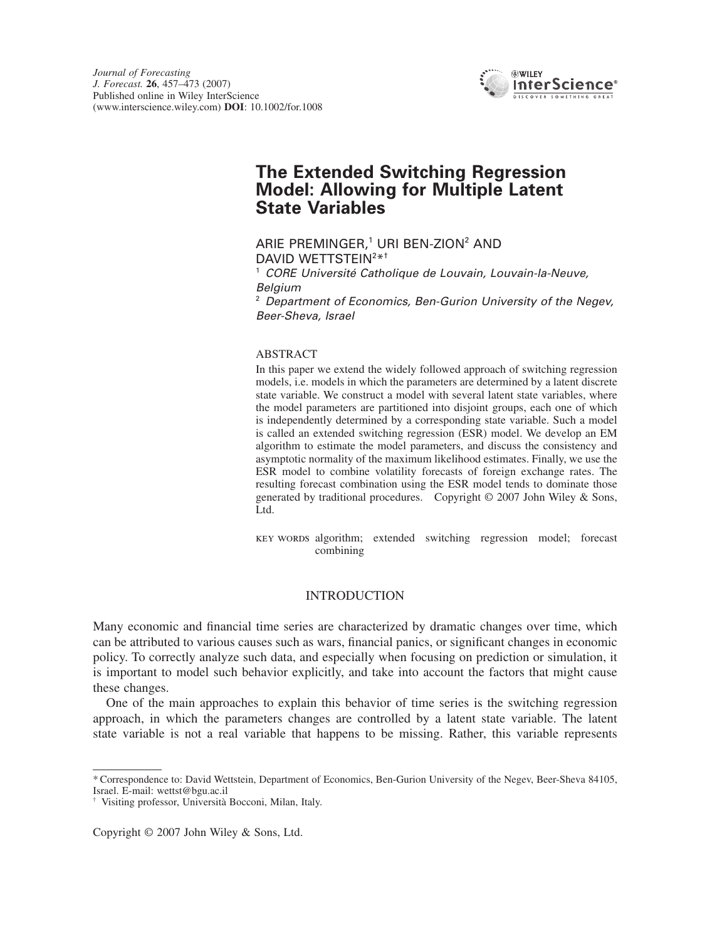

# **The Extended Switching Regression Model: Allowing for Multiple Latent State Variables**

ARIE PREMINGER,<sup>1</sup> URI BEN-ZION<sup>2</sup> AND DAVID WETTSTEIN<sup>2\*†</sup>

<sup>1</sup> *CORE Université Catholique de Louvain, Louvain-la-Neuve, Belgium*

<sup>2</sup> *Department of Economics, Ben-Gurion University of the Negev, Beer-Sheva, Israel*

## ABSTRACT

In this paper we extend the widely followed approach of switching regression models, i.e. models in which the parameters are determined by a latent discrete state variable. We construct a model with several latent state variables, where the model parameters are partitioned into disjoint groups, each one of which is independently determined by a corresponding state variable. Such a model is called an extended switching regression (ESR) model. We develop an EM algorithm to estimate the model parameters, and discuss the consistency and asymptotic normality of the maximum likelihood estimates. Finally, we use the ESR model to combine volatility forecasts of foreign exchange rates. The resulting forecast combination using the ESR model tends to dominate those generated by traditional procedures. Copyright © 2007 John Wiley & Sons, Ltd.

key words algorithm; extended switching regression model; forecast combining

# INTRODUCTION

Many economic and financial time series are characterized by dramatic changes over time, which can be attributed to various causes such as wars, financial panics, or significant changes in economic policy. To correctly analyze such data, and especially when focusing on prediction or simulation, it is important to model such behavior explicitly, and take into account the factors that might cause these changes.

One of the main approaches to explain this behavior of time series is the switching regression approach, in which the parameters changes are controlled by a latent state variable. The latent state variable is not a real variable that happens to be missing. Rather, this variable represents

<sup>\*</sup>Correspondence to: David Wettstein, Department of Economics, Ben-Gurion University of the Negev, Beer-Sheva 84105, Israel. E-mail: wettst@bgu.ac.il

<sup>†</sup> Visiting professor, Università Bocconi, Milan, Italy.

Copyright © 2007 John Wiley & Sons, Ltd.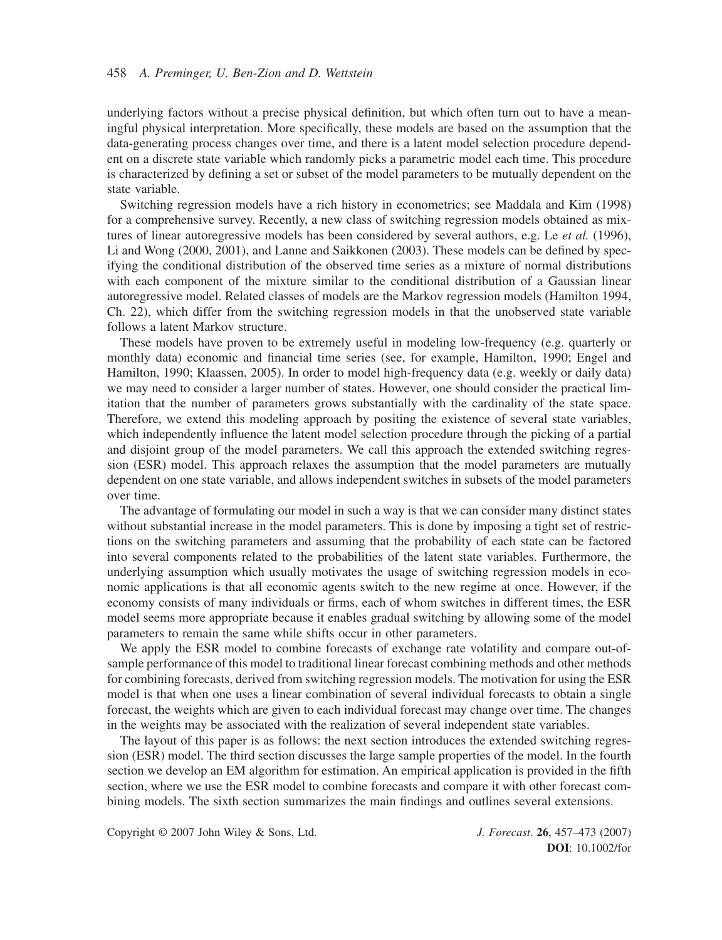underlying factors without a precise physical definition, but which often turn out to have a meaningful physical interpretation. More specifically, these models are based on the assumption that the data-generating process changes over time, and there is a latent model selection procedure dependent on a discrete state variable which randomly picks a parametric model each time. This procedure is characterized by defining a set or subset of the model parameters to be mutually dependent on the state variable.

Switching regression models have a rich history in econometrics; see Maddala and Kim (1998) for a comprehensive survey. Recently, a new class of switching regression models obtained as mixtures of linear autoregressive models has been considered by several authors, e.g. Le *et al.* (1996), Li and Wong (2000, 2001), and Lanne and Saikkonen (2003). These models can be defined by specifying the conditional distribution of the observed time series as a mixture of normal distributions with each component of the mixture similar to the conditional distribution of a Gaussian linear autoregressive model. Related classes of models are the Markov regression models (Hamilton 1994, Ch. 22), which differ from the switching regression models in that the unobserved state variable follows a latent Markov structure.

These models have proven to be extremely useful in modeling low-frequency (e.g. quarterly or monthly data) economic and financial time series (see, for example, Hamilton, 1990; Engel and Hamilton, 1990; Klaassen, 2005). In order to model high-frequency data (e.g. weekly or daily data) we may need to consider a larger number of states. However, one should consider the practical limitation that the number of parameters grows substantially with the cardinality of the state space. Therefore, we extend this modeling approach by positing the existence of several state variables, which independently influence the latent model selection procedure through the picking of a partial and disjoint group of the model parameters. We call this approach the extended switching regression (ESR) model. This approach relaxes the assumption that the model parameters are mutually dependent on one state variable, and allows independent switches in subsets of the model parameters over time.

The advantage of formulating our model in such a way is that we can consider many distinct states without substantial increase in the model parameters. This is done by imposing a tight set of restrictions on the switching parameters and assuming that the probability of each state can be factored into several components related to the probabilities of the latent state variables. Furthermore, the underlying assumption which usually motivates the usage of switching regression models in economic applications is that all economic agents switch to the new regime at once. However, if the economy consists of many individuals or firms, each of whom switches in different times, the ESR model seems more appropriate because it enables gradual switching by allowing some of the model parameters to remain the same while shifts occur in other parameters.

We apply the ESR model to combine forecasts of exchange rate volatility and compare out-ofsample performance of this model to traditional linear forecast combining methods and other methods for combining forecasts, derived from switching regression models. The motivation for using the ESR model is that when one uses a linear combination of several individual forecasts to obtain a single forecast, the weights which are given to each individual forecast may change over time. The changes in the weights may be associated with the realization of several independent state variables.

The layout of this paper is as follows: the next section introduces the extended switching regression (ESR) model. The third section discusses the large sample properties of the model. In the fourth section we develop an EM algorithm for estimation. An empirical application is provided in the fifth section, where we use the ESR model to combine forecasts and compare it with other forecast combining models. The sixth section summarizes the main findings and outlines several extensions.

Copyright © 2007 John Wiley & Sons, Ltd. *J. Forecast*. **26**, 457–473 (2007)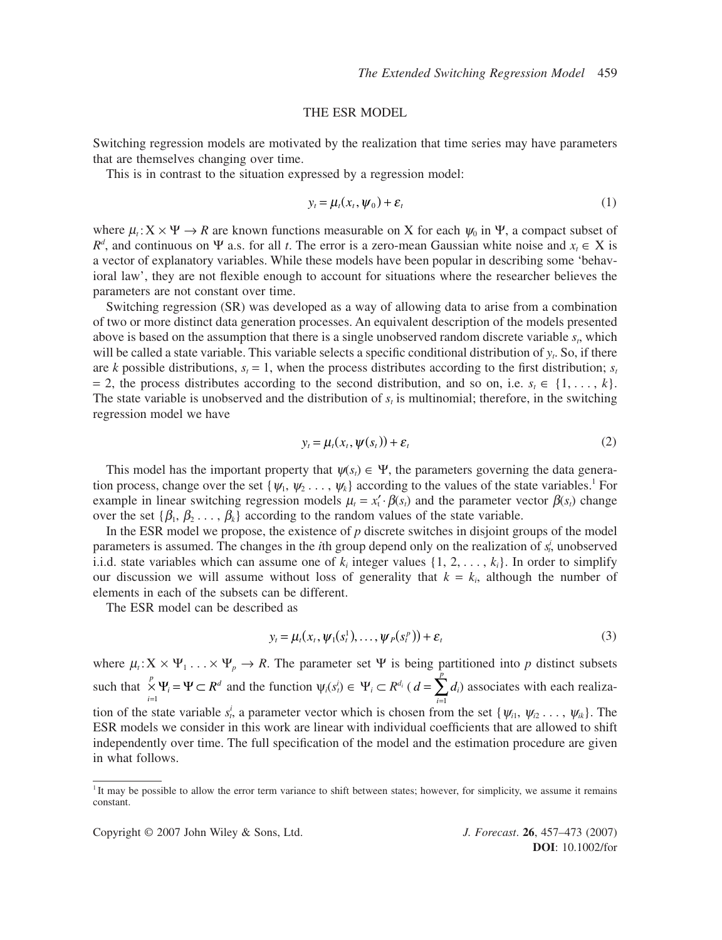#### THE ESR MODEL

Switching regression models are motivated by the realization that time series may have parameters that are themselves changing over time.

This is in contrast to the situation expressed by a regression model:

$$
y_t = \mu_t(x_t, \psi_0) + \varepsilon_t \tag{1}
$$

where  $\mu_t$ :  $X \times \Psi \to R$  are known functions measurable on X for each  $\psi_0$  in  $\Psi$ , a compact subset of  $R<sup>d</sup>$ , and continuous on Ψ a.s. for all *t*. The error is a zero-mean Gaussian white noise and  $x<sub>t</sub> \in X$  is a vector of explanatory variables. While these models have been popular in describing some 'behavioral law', they are not flexible enough to account for situations where the researcher believes the parameters are not constant over time.

Switching regression (SR) was developed as a way of allowing data to arise from a combination of two or more distinct data generation processes. An equivalent description of the models presented above is based on the assumption that there is a single unobserved random discrete variable  $s_t$ , which will be called a state variable. This variable selects a specific conditional distribution of *yt*. So, if there are *k* possible distributions,  $s<sub>i</sub> = 1$ , when the process distributes according to the first distribution;  $s<sub>i</sub>$  $= 2$ , the process distributes according to the second distribution, and so on, i.e. *s<sub>t</sub>* ∈ {1, ..., *k*}. The state variable is unobserved and the distribution of  $s<sub>t</sub>$  is multinomial; therefore, in the switching regression model we have

$$
y_t = \mu_t(x_t, \psi(s_t)) + \varepsilon_t \tag{2}
$$

This model has the important property that  $\psi(s_i) \in \Psi$ , the parameters governing the data generation process, change over the set  $\{\psi_1, \psi_2, \dots, \psi_k\}$  according to the values of the state variables.<sup>1</sup> For example in linear switching regression models  $\mu_t = x'_t \cdot \beta(s_t)$  and the parameter vector  $\beta(s_t)$  change over the set  $\{\beta_1, \beta_2, \ldots, \beta_k\}$  according to the random values of the state variable.

In the ESR model we propose, the existence of  $p$  discrete switches in disjoint groups of the model parameters is assumed. The changes in the *i*th group depend only on the realization of *s i <sup>t</sup>*, unobserved i.i.d. state variables which can assume one of  $k_i$  integer values  $\{1, 2, \ldots, k_i\}$ . In order to simplify our discussion we will assume without loss of generality that  $k = k_i$ , although the number of elements in each of the subsets can be different.

The ESR model can be described as

$$
y_t = \mu_t(x_t, \psi_1(s_t^1), \dots, \psi_p(s_t^p)) + \varepsilon_t
$$
\n(3)

where  $\mu_t: X \times \Psi_1 \ldots \times \Psi_p \to R$ . The parameter set  $\Psi$  is being partitioned into p distinct subsets such that  $X \Psi_i = \Psi \subset R^d$  and the function  $\psi_i(s_i^i) \in \Psi_i \subset R^{d_i}$  ( $d = \sum d_i$ ) associates with each realization of the state variable  $s_i^i$ , a parameter vector which is chosen from the set  $\{\psi_{i1}, \psi_{i2}, \dots, \psi_{ik}\}.$  The ESR models we consider in this work are linear with individual coefficients that are allowed to shift independently over time. The full specification of the model and the estimation procedure are given in what follows. *i p* =  $\bigtimes_{i=1}^p \Psi \subset R^d$  and the function  $\psi_i(s_i^i) \in \Psi_i \subset R^{d_i}$  (  $d = \sum_{i=1}^p$ 

<sup>&</sup>lt;sup>1</sup>It may be possible to allow the error term variance to shift between states; however, for simplicity, we assume it remains constant.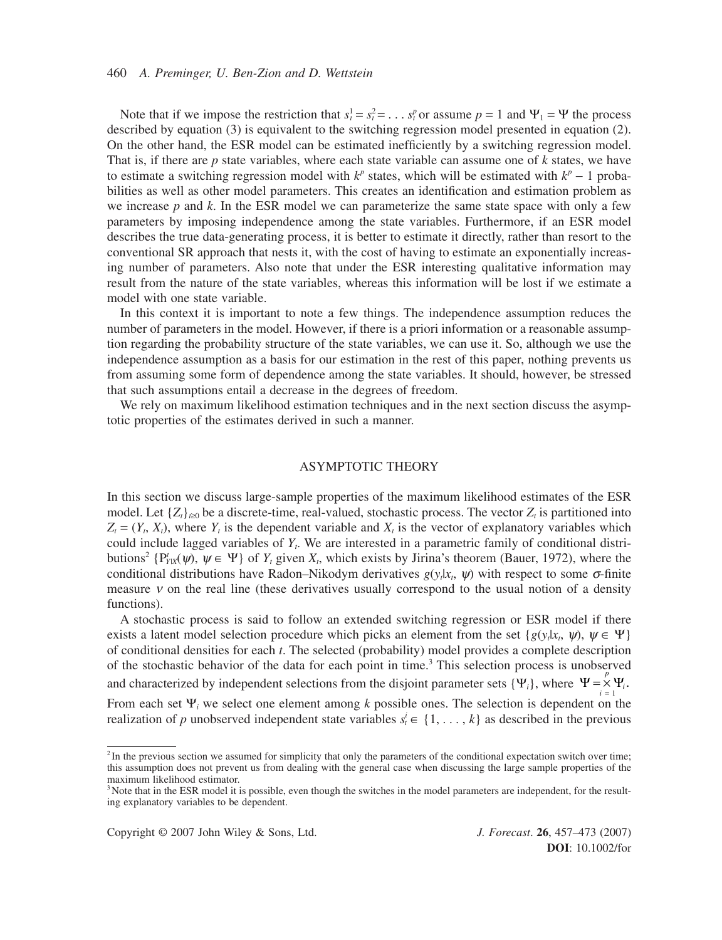Note that if we impose the restriction that  $s_t^1 = s_t^2 = \dots s_t^p$  or assume  $p = 1$  and  $\Psi_1 = \Psi$  the process described by equation (3) is equivalent to the switching regression model presented in equation (2). On the other hand, the ESR model can be estimated inefficiently by a switching regression model. That is, if there are *p* state variables, where each state variable can assume one of *k* states, we have to estimate a switching regression model with  $k^p$  states, which will be estimated with  $k^p - 1$  probabilities as well as other model parameters. This creates an identification and estimation problem as we increase *p* and *k*. In the ESR model we can parameterize the same state space with only a few parameters by imposing independence among the state variables. Furthermore, if an ESR model describes the true data-generating process, it is better to estimate it directly, rather than resort to the conventional SR approach that nests it, with the cost of having to estimate an exponentially increasing number of parameters. Also note that under the ESR interesting qualitative information may result from the nature of the state variables, whereas this information will be lost if we estimate a model with one state variable.

In this context it is important to note a few things. The independence assumption reduces the number of parameters in the model. However, if there is a priori information or a reasonable assumption regarding the probability structure of the state variables, we can use it. So, although we use the independence assumption as a basis for our estimation in the rest of this paper, nothing prevents us from assuming some form of dependence among the state variables. It should, however, be stressed that such assumptions entail a decrease in the degrees of freedom.

We rely on maximum likelihood estimation techniques and in the next section discuss the asymptotic properties of the estimates derived in such a manner.

#### ASYMPTOTIC THEORY

In this section we discuss large-sample properties of the maximum likelihood estimates of the ESR model. Let  $\{Z_t\}_{t>0}$  be a discrete-time, real-valued, stochastic process. The vector  $Z_t$  is partitioned into  $Z_t = (Y_t, X_t)$ , where  $Y_t$  is the dependent variable and  $X_t$  is the vector of explanatory variables which could include lagged variables of *Yt*. We are interested in a parametric family of conditional distributions<sup>2</sup> {P<sup>t</sup><sub>*YIX</sub>*( $\psi$ ),  $\psi \in \Psi$ } of  $Y_t$  given  $X_t$ , which exists by Jirina's theorem (Bauer, 1972), where the</sub> conditional distributions have Radon–Nikodym derivatives  $g(y_t|x_t, \psi)$  with respect to some  $\sigma$ -finite measure  $\nu$  on the real line (these derivatives usually correspond to the usual notion of a density functions).

A stochastic process is said to follow an extended switching regression or ESR model if there exists a latent model selection procedure which picks an element from the set { $g(y_t|x_t, \psi)$ ,  $\psi \in \Psi$ } of conditional densities for each *t*. The selected (probability) model provides a complete description of the stochastic behavior of the data for each point in time.<sup>3</sup> This selection process is unobserved and characterized by independent selections from the disjoint parameter sets  $\{ \Psi_i \}$ , where  $\Psi = \times$ From each set Ψ*<sup>i</sup>* we select one element among *k* possible ones. The selection is dependent on the realization of *p* unobserved independent state variables  $s_i^i \in \{1, \ldots, k\}$  as described in the previous  $\Psi = \sum_{i=1}^{N} \Psi_i$ .

Copyright © 2007 John Wiley & Sons, Ltd. *J. Forecast*. **26**, 457–473 (2007)

 $2$ In the previous section we assumed for simplicity that only the parameters of the conditional expectation switch over time; this assumption does not prevent us from dealing with the general case when discussing the large sample properties of the maximum likelihood estimator.

<sup>&</sup>lt;sup>3</sup>Note that in the ESR model it is possible, even though the switches in the model parameters are independent, for the resulting explanatory variables to be dependent.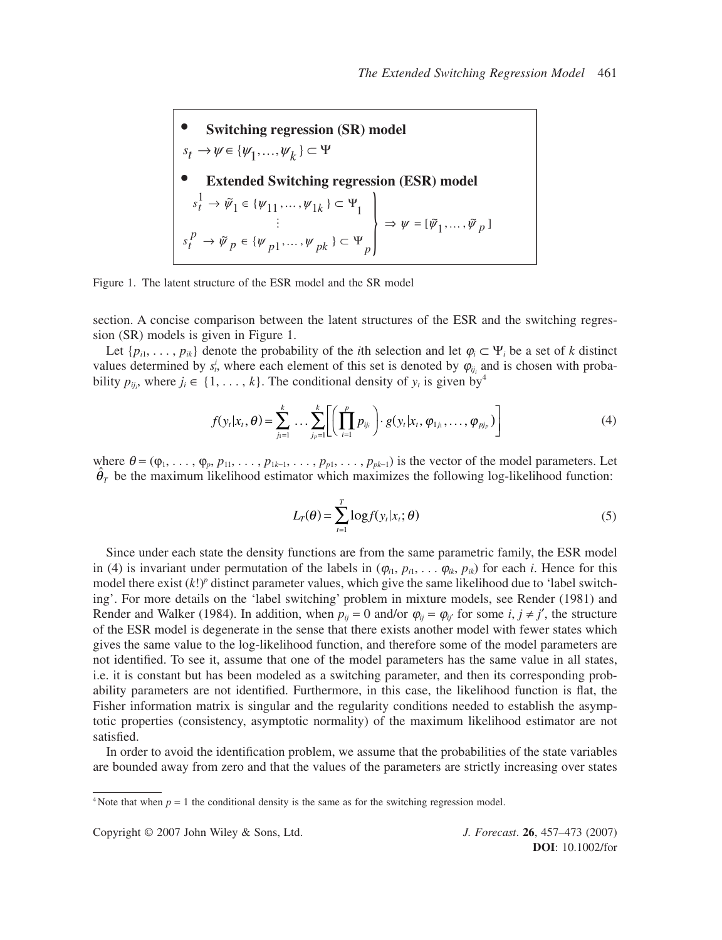\n- Switching regression (SR) model
\n- $$
s_t \rightarrow \psi \in \{\psi_1, \ldots, \psi_k\} \subset \Psi
$$
\n- Extended Switching regression (ESR) model
\n- $s_t^1 \rightarrow \tilde{\psi}_1 \in \{\psi_{11}, \ldots, \psi_{1k}\} \subset \Psi_1$
\n- $\vdots$
\n- $s_t^p \rightarrow \tilde{\psi}_p \in \{\psi_{p1}, \ldots, \psi_{pk}\} \subset \Psi_p$
\n

Figure 1. The latent structure of the ESR model and the SR model

section. A concise comparison between the latent structures of the ESR and the switching regression (SR) models is given in Figure 1.

Let  $\{p_{i1}, \ldots, p_{ik}\}\$  denote the probability of the *i*th selection and let  $\varphi_i \subset \Psi_i$  be a set of *k* distinct values determined by  $s_t^i$ , where each element of this set is denoted by  $\varphi_{ij_i}$  and is chosen with probability  $p_{ij}$ , where  $j_i \in \{1, ..., k\}$ . The conditional density of  $y_t$  is given by<sup>4</sup>

$$
f(y_t|x_t, \theta) = \sum_{j_1=1}^k \dots \sum_{j_p=1}^k \left[ \left( \prod_{i=1}^p p_{ij_i} \right) \cdot g(y_t|x_t, \phi_{1j_1}, \dots, \phi_{pj_p}) \right]
$$
(4)

where  $\theta = (\varphi_1, \ldots, \varphi_p, p_{11}, \ldots, p_{1k-1}, \ldots, p_{p1}, \ldots, p_{pk-1})$  is the vector of the model parameters. Let  $\hat{\theta}_T$  be the maximum likelihood estimator which maximizes the following log-likelihood function:

$$
L_T(\theta) = \sum_{t=1}^T \log f(y_t | x_t; \theta)
$$
\n(5)

Since under each state the density functions are from the same parametric family, the ESR model in (4) is invariant under permutation of the labels in  $(\varphi_{i1}, p_{i1}, \ldots \varphi_{ik}, p_{ik})$  for each *i*. Hence for this model there exist  $(k!)^p$  distinct parameter values, which give the same likelihood due to 'label switching'. For more details on the 'label switching' problem in mixture models, see Render (1981) and Render and Walker (1984). In addition, when  $p_{ij} = 0$  and/or  $\varphi_{ij} = \varphi_{ij}$  for some *i*,  $j \neq j'$ , the structure of the ESR model is degenerate in the sense that there exists another model with fewer states which gives the same value to the log-likelihood function, and therefore some of the model parameters are not identified. To see it, assume that one of the model parameters has the same value in all states, i.e. it is constant but has been modeled as a switching parameter, and then its corresponding probability parameters are not identified. Furthermore, in this case, the likelihood function is flat, the Fisher information matrix is singular and the regularity conditions needed to establish the asymptotic properties (consistency, asymptotic normality) of the maximum likelihood estimator are not satisfied.

In order to avoid the identification problem, we assume that the probabilities of the state variables are bounded away from zero and that the values of the parameters are strictly increasing over states

Copyright © 2007 John Wiley & Sons, Ltd. *J. Forecast*. **26**, 457–473 (2007)

<sup>&</sup>lt;sup>4</sup> Note that when  $p = 1$  the conditional density is the same as for the switching regression model.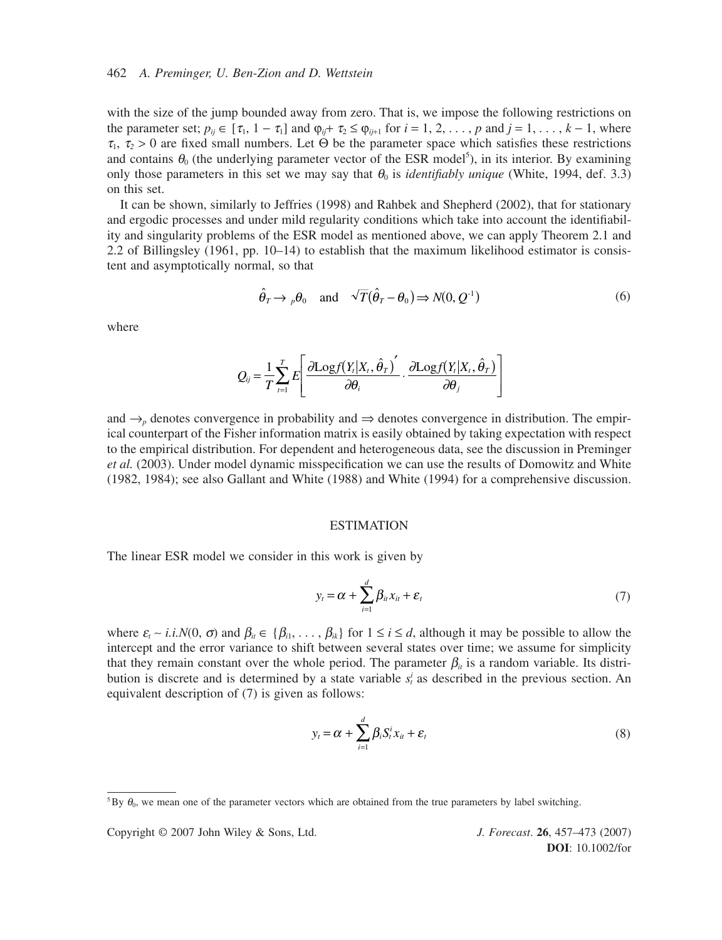#### 462 *A. Preminger, U. Ben-Zion and D. Wettstein*

with the size of the jump bounded away from zero. That is, we impose the following restrictions on the parameter set;  $p_{ij} \in [\tau_1, 1 - \tau_1]$  and  $\varphi_{ij} + \tau_2 \leq \varphi_{ij+1}$  for  $i = 1, 2, \ldots, p$  and  $j = 1, \ldots, k - 1$ , where  $\tau_1$ ,  $\tau_2 > 0$  are fixed small numbers. Let  $\Theta$  be the parameter space which satisfies these restrictions and contains  $\theta_0$  (the underlying parameter vector of the ESR model<sup>5</sup>), in its interior. By examining only those parameters in this set we may say that  $\theta_0$  is *identifiably unique* (White, 1994, def. 3.3) on this set.

It can be shown, similarly to Jeffries (1998) and Rahbek and Shepherd (2002), that for stationary and ergodic processes and under mild regularity conditions which take into account the identifiability and singularity problems of the ESR model as mentioned above, we can apply Theorem 2.1 and 2.2 of Billingsley (1961, pp. 10–14) to establish that the maximum likelihood estimator is consistent and asymptotically normal, so that

$$
\hat{\theta}_T \to {}_{p}\theta_0 \quad \text{and} \quad \sqrt{T}(\hat{\theta}_T - \theta_0) \Rightarrow N(0, Q^{-1})
$$
\n(6)

where

$$
Q_{ij} = \frac{1}{T} \sum_{t=1}^{T} E \left[ \frac{\partial \text{Log}f(Y_t|X_t, \hat{\theta}_T)}{\partial \theta_i} \cdot \frac{\partial \text{Log}f(Y_t|X_t, \hat{\theta}_T)}{\partial \theta_j} \right]
$$

and  $\rightarrow$ <sub>*p*</sub> denotes convergence in probability and  $\Rightarrow$  denotes convergence in distribution. The empirical counterpart of the Fisher information matrix is easily obtained by taking expectation with respect to the empirical distribution. For dependent and heterogeneous data, see the discussion in Preminger *et al.* (2003). Under model dynamic misspecification we can use the results of Domowitz and White (1982, 1984); see also Gallant and White (1988) and White (1994) for a comprehensive discussion.

#### ESTIMATION

The linear ESR model we consider in this work is given by

$$
y_t = \alpha + \sum_{i=1}^d \beta_{ii} x_{it} + \varepsilon_t
$$
\n(7)

where  $\varepsilon_i \sim i.i.N(0, \sigma)$  and  $\beta_{ii} \in {\beta_{i1}, \ldots, \beta_{ik}}$  for  $1 \le i \le d$ , although it may be possible to allow the intercept and the error variance to shift between several states over time; we assume for simplicity that they remain constant over the whole period. The parameter  $\beta_{ii}$  is a random variable. Its distribution is discrete and is determined by a state variable  $s_t^i$  as described in the previous section. An equivalent description of (7) is given as follows:

$$
y_t = \alpha + \sum_{i=1}^d \beta_i S_i^i x_{it} + \varepsilon_t
$$
\n(8)

Copyright © 2007 John Wiley & Sons, Ltd. *J. Forecast*. **26**, 457–473 (2007)

<sup>&</sup>lt;sup>5</sup>By  $\theta_0$ , we mean one of the parameter vectors which are obtained from the true parameters by label switching.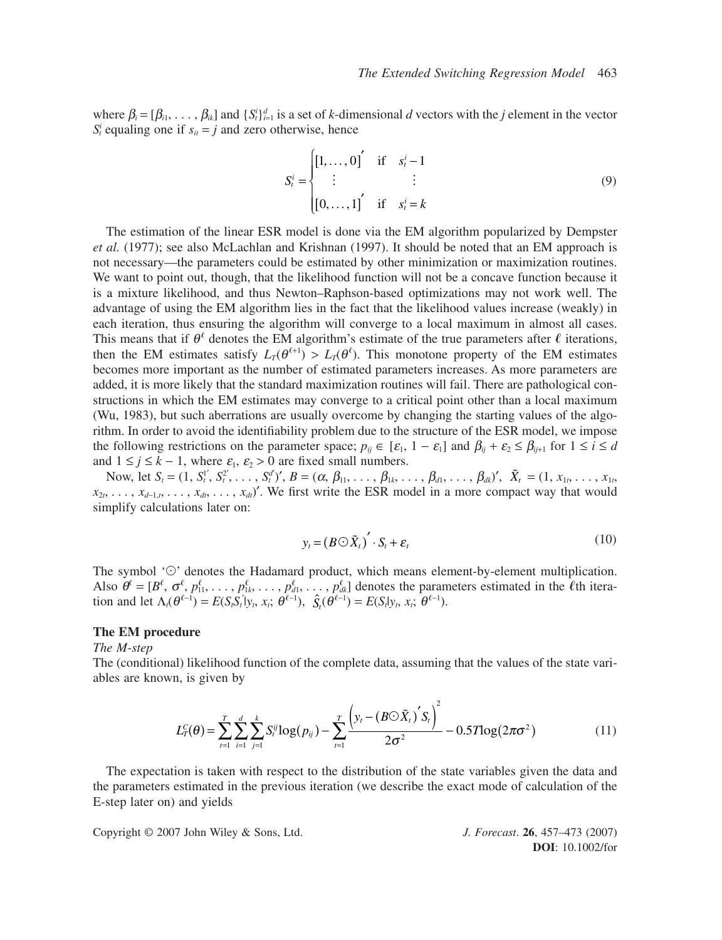where  $\beta_i = [\beta_{i1}, \ldots, \beta_{ik}]$  and  $\{S_i^i\}_{i=1}^d$  is a set of *k*-dimensional *d* vectors with the *j* element in the vector  $S_t^i$  equaling one if  $s_{it} = j$  and zero otherwise, hence

$$
S_{t}^{i} = \begin{cases} [1, ..., 0]^{'} & \text{if } s_{t}^{i} - 1 \\ \vdots & \vdots \\ [0, ..., 1]^{'} & \text{if } s_{t}^{i} = k \end{cases}
$$
(9)

The estimation of the linear ESR model is done via the EM algorithm popularized by Dempster *et al.* (1977); see also McLachlan and Krishnan (1997). It should be noted that an EM approach is not necessary—the parameters could be estimated by other minimization or maximization routines. We want to point out, though, that the likelihood function will not be a concave function because it is a mixture likelihood, and thus Newton–Raphson-based optimizations may not work well. The advantage of using the EM algorithm lies in the fact that the likelihood values increase (weakly) in each iteration, thus ensuring the algorithm will converge to a local maximum in almost all cases. This means that if  $\theta^{\ell}$  denotes the EM algorithm's estimate of the true parameters after  $\ell$  iterations, then the EM estimates satisfy  $L_T(\theta^{\ell+1}) > L_T(\theta^{\ell})$ . This monotone property of the EM estimates becomes more important as the number of estimated parameters increases. As more parameters are added, it is more likely that the standard maximization routines will fail. There are pathological constructions in which the EM estimates may converge to a critical point other than a local maximum (Wu, 1983), but such aberrations are usually overcome by changing the starting values of the algorithm. In order to avoid the identifiability problem due to the structure of the ESR model, we impose the following restrictions on the parameter space;  $p_{ij} \in [\varepsilon_1, 1 - \varepsilon_1]$  and  $\beta_{ij} + \varepsilon_2 \le \beta_{i+1}$  for  $1 \le i \le d$ and  $1 \le j \le k - 1$ , where  $\varepsilon_1$ ,  $\varepsilon_2 > 0$  are fixed small numbers.

Now, let  $S_t = (1, S_t^{1'}, S_t^{2'}, \ldots, S_t^{d'})'$ ,  $B = (\alpha, \beta_{11}, \ldots, \beta_{1k}, \ldots, \beta_{d1}, \ldots, \beta_{dk})'$ ,  $\tilde{X}_t = (1, x_{1t}, \ldots, x_{1t}, \ldots, x_{dt})'$  $x_{2t}, \ldots, x_{d-1,t}, \ldots, x_{dt}, \ldots, x_{dt}$ '. We first write the ESR model in a more compact way that would simplify calculations later on:

$$
y_t = (B \odot \tilde{X}_t)' \cdot S_t + \varepsilon_t \tag{10}
$$

The symbol ' $\odot$ ' denotes the Hadamard product, which means element-by-element multiplication. Also  $\theta^{\ell} = [B^{\ell}, \sigma^{\ell}, p_{11}^{\ell}, \ldots, p_{1k}^{\ell}, \ldots, p_{d1}^{\ell}, \ldots, p_{dk}^{\ell}]$  denotes the parameters estimated in the  $\ell$ th iteration and let  $\Lambda_t(\theta^{\ell-1}) = E(S_t S_t | y_t, x_t; \theta^{\ell-1}), \hat{S}_t(\theta^{\ell-1}) = E(S_t | y_t, x_t; \theta^{\ell-1}).$ 

# **The EM procedure**

*The M-step*

The (conditional) likelihood function of the complete data, assuming that the values of the state variables are known, is given by

$$
L_T^C(\theta) = \sum_{t=1}^T \sum_{i=1}^d \sum_{j=1}^k S_t^{ij} \log(p_{ij}) - \sum_{t=1}^T \frac{\left(y_t - (B \odot \tilde{X}_t)^S \right)^2}{2\sigma^2} - 0.5T \log(2\pi\sigma^2)
$$
(11)

The expectation is taken with respect to the distribution of the state variables given the data and the parameters estimated in the previous iteration (we describe the exact mode of calculation of the E-step later on) and yields

Copyright © 2007 John Wiley & Sons, Ltd. *J. Forecast*. **26**, 457–473 (2007)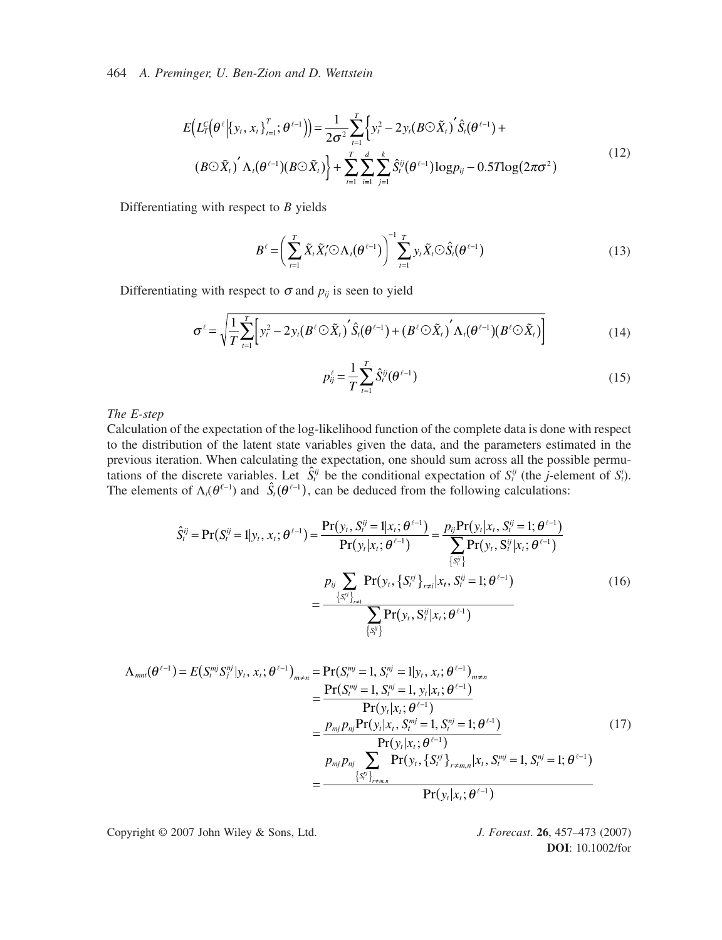464 *A. Preminger, U. Ben-Zion and D. Wettstein*

$$
E(L_{T}^{c}(\theta^{\ell}| \{y_{t}, x_{t}\}_{t=1}^{T}; \theta^{\ell-1})) = \frac{1}{2\sigma^{2}} \sum_{t=1}^{T} \left\{ y_{t}^{2} - 2y_{t}(B \odot \tilde{X}_{t})^{'} \hat{S}_{t}(\theta^{\ell-1}) + (B \odot \tilde{X}_{t})^{'} \Lambda_{t}(\theta^{\ell-1})(B \odot \tilde{X}_{t}) \right\} + \sum_{t=1}^{T} \sum_{i=1}^{d} \sum_{j=1}^{k} \hat{S}_{t}^{ij}(\theta^{\ell-1}) \log p_{ij} - 0.5T \log(2\pi\sigma^{2})
$$
\n(12)

Differentiating with respect to *B* yields

$$
B^{\ell} = \left(\sum_{t=1}^{T} \tilde{X}_t \tilde{X}_t' \bigodot \Lambda_t (\theta^{\ell-1})\right)^{-1} \sum_{t=1}^{T} y_t \tilde{X}_t \bigodot \hat{S}_t (\theta^{\ell-1})
$$
\n(13)

Differentiating with respect to  $\sigma$  and  $p_{ij}$  is seen to yield

$$
\sigma^{\ell} = \sqrt{\frac{1}{T} \sum_{t=1}^{T} \left[ y_t^2 - 2y_t (B^{\ell} \odot \tilde{X}_t)' \hat{S}_t (\theta^{\ell-1}) + (B^{\ell} \odot \tilde{X}_t)' \Lambda_t (\theta^{\ell-1}) (B^{\ell} \odot \tilde{X}_t) \right]}
$$
(14)

$$
p_{ij}^{\ell} = \frac{1}{T} \sum_{t=1}^{T} \hat{S}_t^{ij} (\theta^{\ell-1})
$$
\n(15)

*The E-step*

Calculation of the expectation of the log-likelihood function of the complete data is done with respect to the distribution of the latent state variables given the data, and the parameters estimated in the previous iteration. When calculating the expectation, one should sum across all the possible permutations of the discrete variables. Let  $\hat{S}_t^{ij}$  be the conditional expectation of  $S_t^{ij}$  (the *j*-element of  $S_t^{i}$ ). The elements of  $\Lambda_i(\theta^{\ell-1})$  and  $\hat{S}_i(\theta^{\ell-1})$ , can be deduced from the following calculations:  $\hat{S}^{ij}_t$ 

$$
\hat{S}_{t}^{ij} = \Pr(S_{t}^{ij} = 1 | y_{t}, x_{t}; \theta^{\ell-1}) = \frac{\Pr(y_{t}, S_{t}^{ij} = 1 | x_{t}; \theta^{\ell-1})}{\Pr(y_{t} | x_{t}; \theta^{\ell-1})} = \frac{p_{ij} \Pr(y_{t} | x_{t}, S_{t}^{ij} = 1; \theta^{\ell-1})}{\sum_{\{S_{t}^{ij}\}\Pr(y_{t}, S_{t}^{ij} | x_{t}; \theta^{\ell-1})}}
$$
\n
$$
= \frac{p_{ij} \sum_{\{S_{t}^{ij}\}_{r \neq 1}} \Pr(y_{t}, \{S_{t}^{ij}\}_{r \neq i} | x_{t}, S_{t}^{ij} = 1; \theta^{\ell-1})}{\sum_{\{S_{t}^{ij}\}\Pr(y_{t}, S_{t}^{ij} | x_{t}; \theta^{\ell-1})}
$$
\n(16)

$$
\Lambda_{mnl}(\theta^{\ell-1}) = E(S_l^{mj}S_j^{nj}|y_t, x_t; \theta^{\ell-1})_{m \neq n} = \Pr(S_l^{mj} = 1, S_l^{nj} = 1 |y_t, x_t; \theta^{\ell-1})_{m \neq n} \n= \frac{\Pr(S_l^{mj} = 1, S_l^{nj} = 1, y_t | x_t; \theta^{\ell-1})}{\Pr(y_t | x_t; \theta^{\ell-1})} \n= \frac{p_{mj}p_{nj}\Pr(y_t | x_t, S_l^{mj} = 1, S_l^{nj} = 1; \theta^{\ell-1})}{\Pr(y_t | x_t; \theta^{\ell-1})} \n= \frac{p_{mj}p_{nj}\sum_{\{S_l^{nj}\}_{r \neq m,n}} \Pr(y_t, \{S_l^{nj}\}_{r \neq m,n} | x_t, S_l^{mj} = 1, S_l^{nj} = 1; \theta^{\ell-1})}{\Pr(y_t | x_t; \theta^{\ell-1})}
$$
\n(17)

Copyright © 2007 John Wiley & Sons, Ltd. *J. Forecast*. **26**, 457–473 (2007)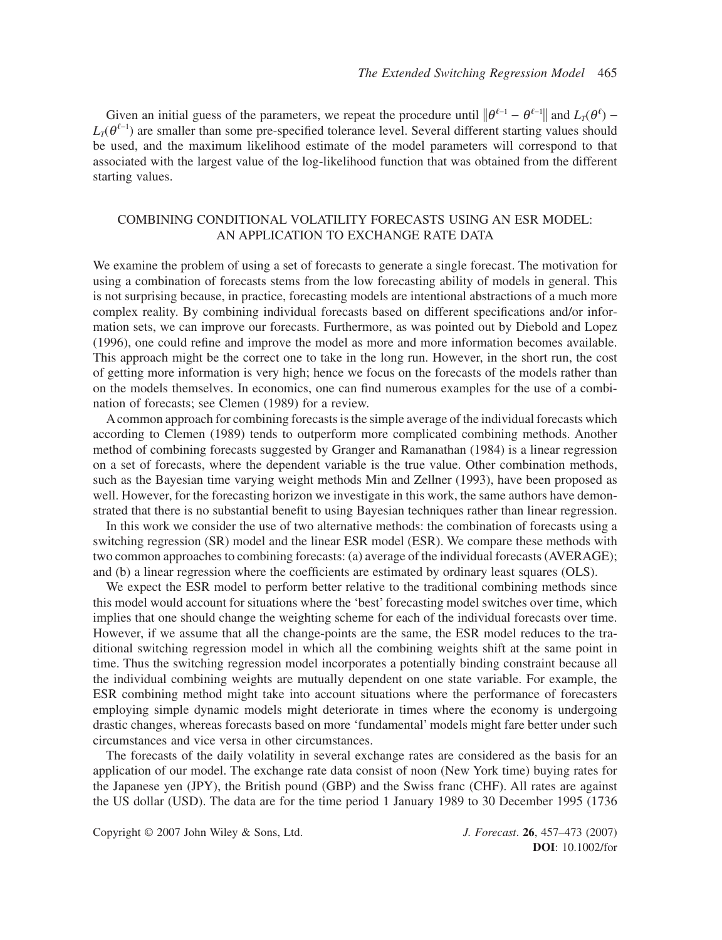Given an initial guess of the parameters, we repeat the procedure until  $\|\theta^{\ell-1} - \theta^{\ell-1}\|$  and  $L_T(\theta^{\ell})$  –  $L_T(\theta^{\ell-1})$  are smaller than some pre-specified tolerance level. Several different starting values should be used, and the maximum likelihood estimate of the model parameters will correspond to that associated with the largest value of the log-likelihood function that was obtained from the different starting values.

# COMBINING CONDITIONAL VOLATILITY FORECASTS USING AN ESR MODEL: AN APPLICATION TO EXCHANGE RATE DATA

We examine the problem of using a set of forecasts to generate a single forecast. The motivation for using a combination of forecasts stems from the low forecasting ability of models in general. This is not surprising because, in practice, forecasting models are intentional abstractions of a much more complex reality. By combining individual forecasts based on different specifications and/or information sets, we can improve our forecasts. Furthermore, as was pointed out by Diebold and Lopez (1996), one could refine and improve the model as more and more information becomes available. This approach might be the correct one to take in the long run. However, in the short run, the cost of getting more information is very high; hence we focus on the forecasts of the models rather than on the models themselves. In economics, one can find numerous examples for the use of a combination of forecasts; see Clemen (1989) for a review.

Acommon approach for combining forecasts is the simple average of the individual forecasts which according to Clemen (1989) tends to outperform more complicated combining methods. Another method of combining forecasts suggested by Granger and Ramanathan (1984) is a linear regression on a set of forecasts, where the dependent variable is the true value. Other combination methods, such as the Bayesian time varying weight methods Min and Zellner (1993), have been proposed as well. However, for the forecasting horizon we investigate in this work, the same authors have demonstrated that there is no substantial benefit to using Bayesian techniques rather than linear regression.

In this work we consider the use of two alternative methods: the combination of forecasts using a switching regression (SR) model and the linear ESR model (ESR). We compare these methods with two common approaches to combining forecasts: (a) average of the individual forecasts (AVERAGE); and (b) a linear regression where the coefficients are estimated by ordinary least squares (OLS).

We expect the ESR model to perform better relative to the traditional combining methods since this model would account for situations where the 'best' forecasting model switches over time, which implies that one should change the weighting scheme for each of the individual forecasts over time. However, if we assume that all the change-points are the same, the ESR model reduces to the traditional switching regression model in which all the combining weights shift at the same point in time. Thus the switching regression model incorporates a potentially binding constraint because all the individual combining weights are mutually dependent on one state variable. For example, the ESR combining method might take into account situations where the performance of forecasters employing simple dynamic models might deteriorate in times where the economy is undergoing drastic changes, whereas forecasts based on more 'fundamental' models might fare better under such circumstances and vice versa in other circumstances.

The forecasts of the daily volatility in several exchange rates are considered as the basis for an application of our model. The exchange rate data consist of noon (New York time) buying rates for the Japanese yen (JPY), the British pound (GBP) and the Swiss franc (CHF). All rates are against the US dollar (USD). The data are for the time period 1 January 1989 to 30 December 1995 (1736

Copyright © 2007 John Wiley & Sons, Ltd. *J. Forecast*. **26**, 457–473 (2007)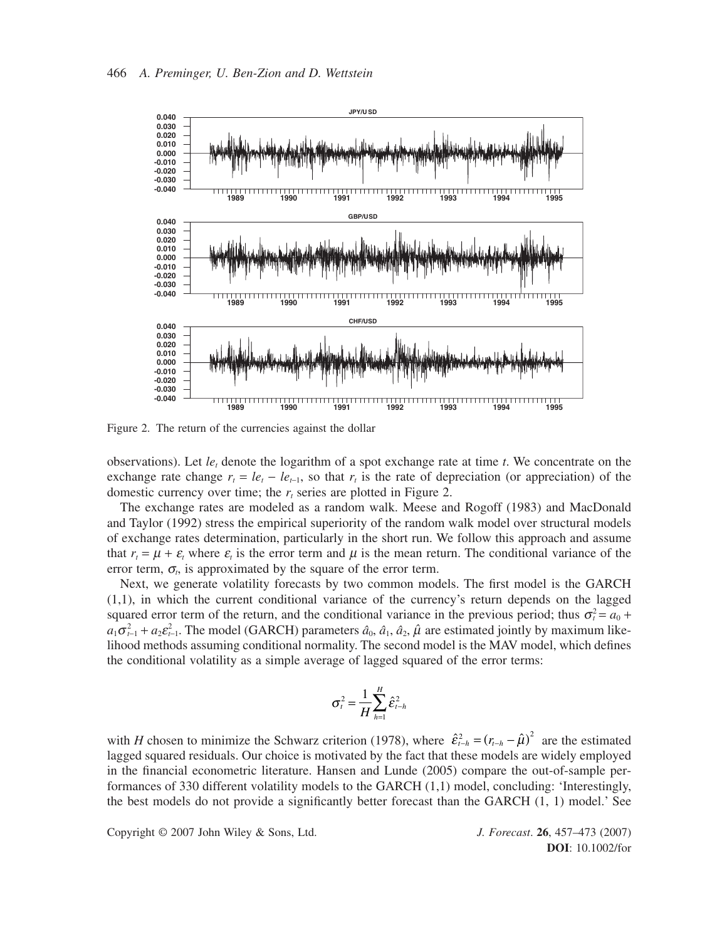

Figure 2. The return of the currencies against the dollar

observations). Let  $le<sub>t</sub>$  denote the logarithm of a spot exchange rate at time  $t$ . We concentrate on the exchange rate change  $r_t = le_t - le_{t-1}$ , so that  $r_t$  is the rate of depreciation (or appreciation) of the domestic currency over time; the  $r<sub>t</sub>$  series are plotted in Figure 2.

The exchange rates are modeled as a random walk. Meese and Rogoff (1983) and MacDonald and Taylor (1992) stress the empirical superiority of the random walk model over structural models of exchange rates determination, particularly in the short run. We follow this approach and assume that  $r_t = \mu + \varepsilon$ , where  $\varepsilon$ , is the error term and  $\mu$  is the mean return. The conditional variance of the error term,  $\sigma$ <sub>*<sub>i</sub>*</sub>, is approximated by the square of the error term.

Next, we generate volatility forecasts by two common models. The first model is the GARCH (1,1), in which the current conditional variance of the currency's return depends on the lagged squared error term of the return, and the conditional variance in the previous period; thus  $\sigma_t^2 = a_0 + a_1$  $a_1 \sigma_{t-1}^2 + a_2 \epsilon_{t-1}^2$ . The model (GARCH) parameters  $\hat{a}_0$ ,  $\hat{a}_1$ ,  $\hat{a}_2$ ,  $\hat{\mu}$  are estimated jointly by maximum likelihood methods assuming conditional normality. The second model is the MAV model, which defines the conditional volatility as a simple average of lagged squared of the error terms:

$$
\sigma_t^2 = \frac{1}{H} \sum_{h=1}^H \hat{\varepsilon}_{t-h}^2
$$

with *H* chosen to minimize the Schwarz criterion (1978), where  $\hat{\epsilon}_{t-h}^2 = (r_{t-h} - \hat{\mu})^2$  are the estimated lagged squared residuals. Our choice is motivated by the fact that these models are widely employed in the financial econometric literature. Hansen and Lunde (2005) compare the out-of-sample performances of 330 different volatility models to the GARCH (1,1) model, concluding: 'Interestingly, the best models do not provide a significantly better forecast than the GARCH (1, 1) model.' See

Copyright © 2007 John Wiley & Sons, Ltd. *J. Forecast*. **26**, 457–473 (2007)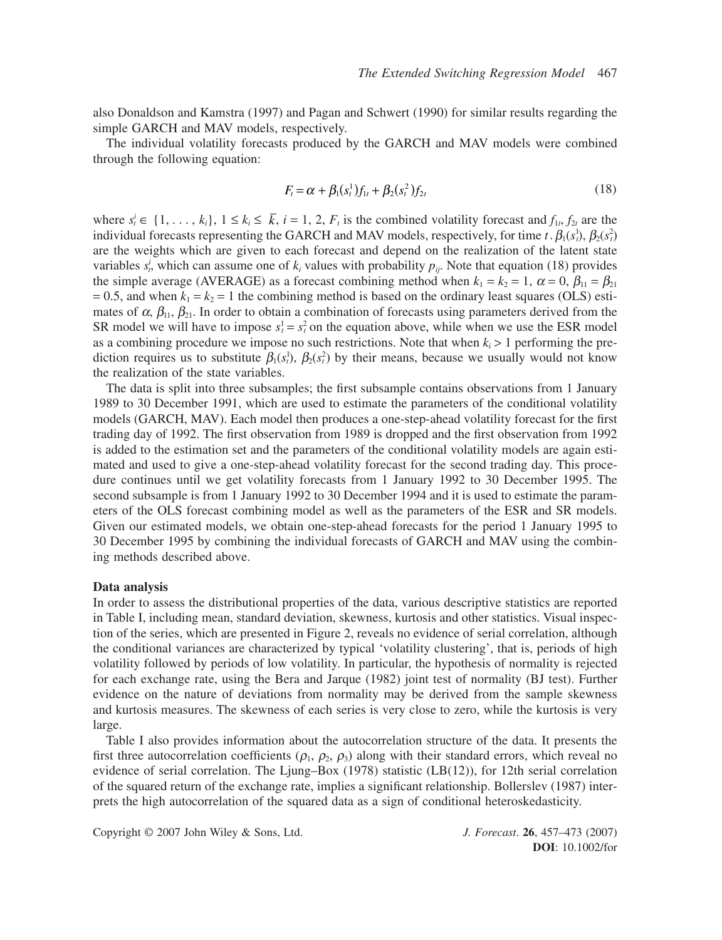also Donaldson and Kamstra (1997) and Pagan and Schwert (1990) for similar results regarding the simple GARCH and MAV models, respectively.

The individual volatility forecasts produced by the GARCH and MAV models were combined through the following equation:

$$
F_t = \alpha + \beta_1(s_t^1) f_{1t} + \beta_2(s_t^2) f_{2t}
$$
\n(18)

where  $s_t^i \in \{1, \ldots, k_i\}, 1 \leq k_i \leq \bar{k}, i = 1, 2, F_t$  is the combined volatility forecast and  $f_1, f_2$  are the individual forecasts representing the GARCH and MAV models, respectively, for time  $t \cdot \beta_1(s_t^1), \beta_2(s_t^2)$ are the weights which are given to each forecast and depend on the realization of the latent state variables  $s_t^i$ , which can assume one of  $k_i$  values with probability  $p_{ij}$ . Note that equation (18) provides the simple average (AVERAGE) as a forecast combining method when  $k_1 = k_2 = 1$ ,  $\alpha = 0$ ,  $\beta_{11} = \beta_{21}$  $= 0.5$ , and when  $k_1 = k_2 = 1$  the combining method is based on the ordinary least squares (OLS) estimates of  $\alpha$ ,  $\beta_{11}$ ,  $\beta_{21}$ . In order to obtain a combination of forecasts using parameters derived from the SR model we will have to impose  $s_t^1 = s_t^2$  on the equation above, while when we use the ESR model as a combining procedure we impose no such restrictions. Note that when  $k_i > 1$  performing the prediction requires us to substitute  $\beta_1(s_t^1), \beta_2(s_t^2)$  by their means, because we usually would not know the realization of the state variables.

The data is split into three subsamples; the first subsample contains observations from 1 January 1989 to 30 December 1991, which are used to estimate the parameters of the conditional volatility models (GARCH, MAV). Each model then produces a one-step-ahead volatility forecast for the first trading day of 1992. The first observation from 1989 is dropped and the first observation from 1992 is added to the estimation set and the parameters of the conditional volatility models are again estimated and used to give a one-step-ahead volatility forecast for the second trading day. This procedure continues until we get volatility forecasts from 1 January 1992 to 30 December 1995. The second subsample is from 1 January 1992 to 30 December 1994 and it is used to estimate the parameters of the OLS forecast combining model as well as the parameters of the ESR and SR models. Given our estimated models, we obtain one-step-ahead forecasts for the period 1 January 1995 to 30 December 1995 by combining the individual forecasts of GARCH and MAV using the combining methods described above.

#### **Data analysis**

In order to assess the distributional properties of the data, various descriptive statistics are reported in Table I, including mean, standard deviation, skewness, kurtosis and other statistics. Visual inspection of the series, which are presented in Figure 2, reveals no evidence of serial correlation, although the conditional variances are characterized by typical 'volatility clustering', that is, periods of high volatility followed by periods of low volatility. In particular, the hypothesis of normality is rejected for each exchange rate, using the Bera and Jarque (1982) joint test of normality (BJ test). Further evidence on the nature of deviations from normality may be derived from the sample skewness and kurtosis measures. The skewness of each series is very close to zero, while the kurtosis is very large.

Table I also provides information about the autocorrelation structure of the data. It presents the first three autocorrelation coefficients ( $\rho_1$ ,  $\rho_2$ ,  $\rho_3$ ) along with their standard errors, which reveal no evidence of serial correlation. The Ljung–Box (1978) statistic (LB(12)), for 12th serial correlation of the squared return of the exchange rate, implies a significant relationship. Bollerslev (1987) interprets the high autocorrelation of the squared data as a sign of conditional heteroskedasticity.

Copyright © 2007 John Wiley & Sons, Ltd. *J. Forecast*. **26**, 457–473 (2007)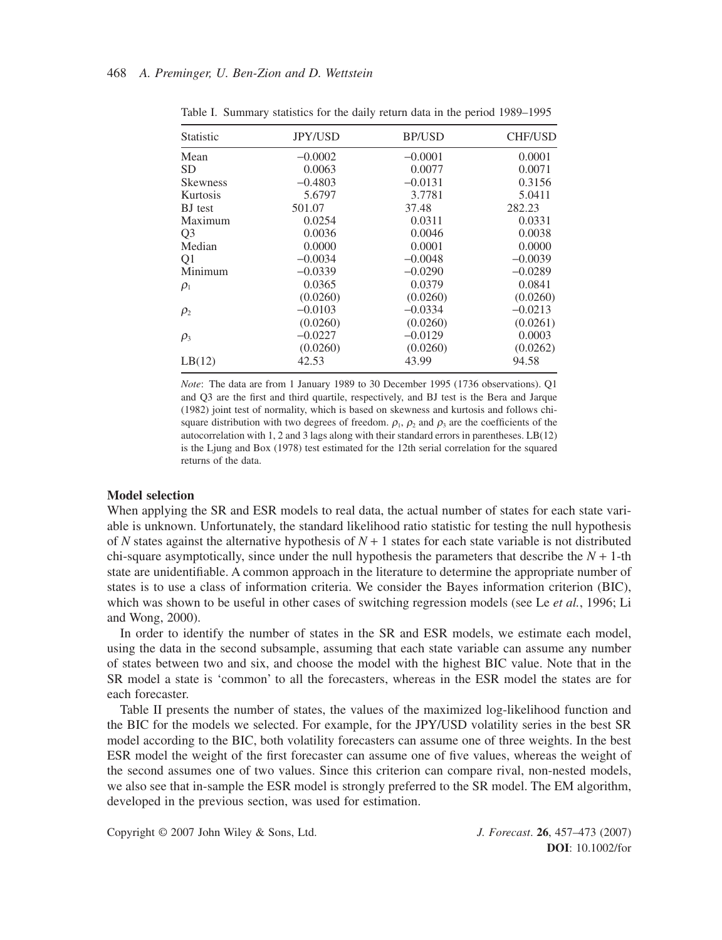| Statistic       | <b>JPY/USD</b> | <b>BP/USD</b> | <b>CHF/USD</b> |  |
|-----------------|----------------|---------------|----------------|--|
| Mean            | $-0.0002$      | $-0.0001$     | 0.0001         |  |
| SD              | 0.0063         | 0.0077        | 0.0071         |  |
| <b>Skewness</b> | $-0.4803$      | $-0.0131$     | 0.3156         |  |
| Kurtosis        | 5.6797         | 3.7781        | 5.0411         |  |
| <b>BJ</b> test  | 501.07         | 37.48         | 282.23         |  |
| Maximum         | 0.0254         | 0.0311        | 0.0331         |  |
| Q <sub>3</sub>  | 0.0036         | 0.0046        | 0.0038         |  |
| Median          | 0.0000         | 0.0001        | 0.0000         |  |
| Q <sub>1</sub>  | $-0.0034$      | $-0.0048$     | $-0.0039$      |  |
| Minimum         | $-0.0339$      | $-0.0290$     | $-0.0289$      |  |
| $\rho_1$        | 0.0365         | 0.0379        | 0.0841         |  |
|                 | (0.0260)       | (0.0260)      | (0.0260)       |  |
| $\rho_{2}$      | $-0.0103$      | $-0.0334$     | $-0.0213$      |  |
|                 | (0.0260)       | (0.0260)      | (0.0261)       |  |
| $\rho_3$        | $-0.0227$      | $-0.0129$     | 0.0003         |  |
|                 | (0.0260)       | (0.0260)      | (0.0262)       |  |
| LB(12)          | 42.53          | 43.99         | 94.58          |  |

Table I. Summary statistics for the daily return data in the period 1989–1995

*Note*: The data are from 1 January 1989 to 30 December 1995 (1736 observations). Q1 and Q3 are the first and third quartile, respectively, and BJ test is the Bera and Jarque (1982) joint test of normality, which is based on skewness and kurtosis and follows chisquare distribution with two degrees of freedom.  $\rho_1$ ,  $\rho_2$  and  $\rho_3$  are the coefficients of the autocorrelation with 1, 2 and 3 lags along with their standard errors in parentheses. LB(12) is the Ljung and Box (1978) test estimated for the 12th serial correlation for the squared returns of the data.

# **Model selection**

When applying the SR and ESR models to real data, the actual number of states for each state variable is unknown. Unfortunately, the standard likelihood ratio statistic for testing the null hypothesis of *N* states against the alternative hypothesis of  $N + 1$  states for each state variable is not distributed chi-square asymptotically, since under the null hypothesis the parameters that describe the  $N + 1$ -th state are unidentifiable. A common approach in the literature to determine the appropriate number of states is to use a class of information criteria. We consider the Bayes information criterion (BIC), which was shown to be useful in other cases of switching regression models (see Le *et al.*, 1996; Li and Wong, 2000).

In order to identify the number of states in the SR and ESR models, we estimate each model, using the data in the second subsample, assuming that each state variable can assume any number of states between two and six, and choose the model with the highest BIC value. Note that in the SR model a state is 'common' to all the forecasters, whereas in the ESR model the states are for each forecaster.

Table II presents the number of states, the values of the maximized log-likelihood function and the BIC for the models we selected. For example, for the JPY/USD volatility series in the best SR model according to the BIC, both volatility forecasters can assume one of three weights. In the best ESR model the weight of the first forecaster can assume one of five values, whereas the weight of the second assumes one of two values. Since this criterion can compare rival, non-nested models, we also see that in-sample the ESR model is strongly preferred to the SR model. The EM algorithm, developed in the previous section, was used for estimation.

Copyright © 2007 John Wiley & Sons, Ltd. *J. Forecast*. **26**, 457–473 (2007)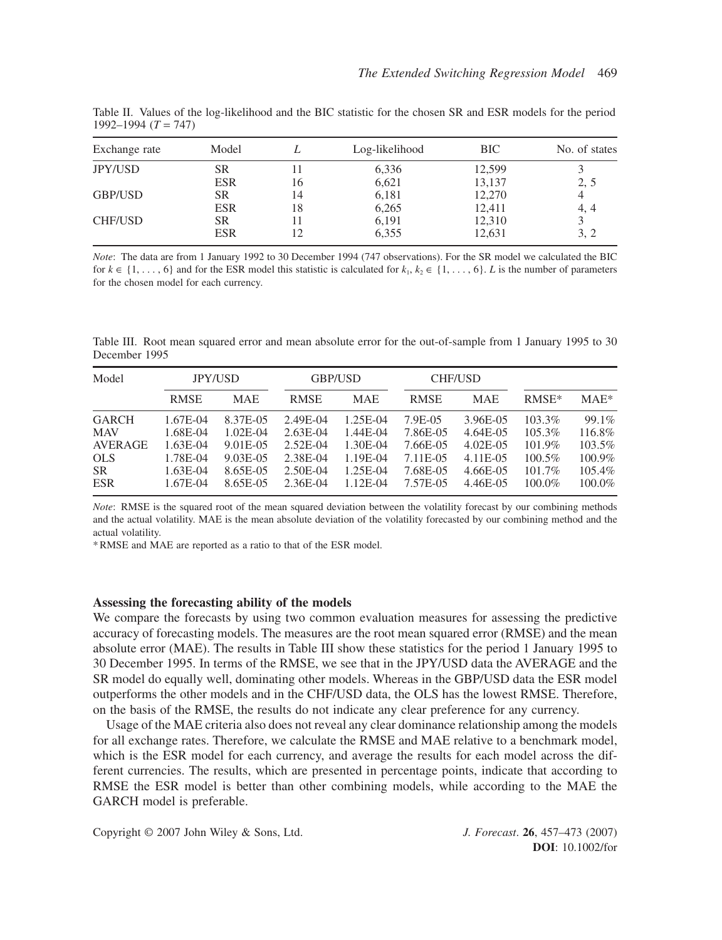| Exchange rate  | Model      |    | Log-likelihood | BIC.   | No. of states |  |
|----------------|------------|----|----------------|--------|---------------|--|
| <b>JPY/USD</b> | SR         |    | 6,336          | 12,599 |               |  |
|                | <b>ESR</b> | 16 | 6,621          | 13,137 | 2, 5          |  |
| GBP/USD        | <b>SR</b>  | 14 | 6,181          | 12,270 | 4             |  |
|                | <b>ESR</b> | 18 | 6,265          | 12,411 | 4, 4          |  |
| <b>CHF/USD</b> | <b>SR</b>  |    | 6,191          | 12,310 |               |  |
|                | <b>ESR</b> | 12 | 6,355          | 12,631 | 3, 2          |  |

Table II. Values of the log-likelihood and the BIC statistic for the chosen SR and ESR models for the period 1992–1994 (*T* = 747)

*Note*: The data are from 1 January 1992 to 30 December 1994 (747 observations). For the SR model we calculated the BIC for  $k \in \{1, \ldots, 6\}$  and for the ESR model this statistic is calculated for  $k_1, k_2 \in \{1, \ldots, 6\}$ . *L* is the number of parameters for the chosen model for each currency.

Table III. Root mean squared error and mean absolute error for the out-of-sample from 1 January 1995 to 30 December 1995

| Model                                                                                 | <b>JPY/USD</b>                                                         |                                                                           | GBP/USD                                                                |                                                                        | <b>CHF/USD</b>                                                      |                                                                            |                                                                      |                                                         |
|---------------------------------------------------------------------------------------|------------------------------------------------------------------------|---------------------------------------------------------------------------|------------------------------------------------------------------------|------------------------------------------------------------------------|---------------------------------------------------------------------|----------------------------------------------------------------------------|----------------------------------------------------------------------|---------------------------------------------------------|
|                                                                                       | <b>RMSE</b>                                                            | <b>MAE</b>                                                                | <b>RMSE</b>                                                            | <b>MAE</b>                                                             | <b>RMSE</b>                                                         | <b>MAE</b>                                                                 | $RMSE*$                                                              | $MAE*$                                                  |
| <b>GARCH</b><br><b>MAV</b><br><b>AVERAGE</b><br><b>OLS</b><br><b>SR</b><br><b>ESR</b> | 1.67E-04<br>1.68E-04<br>$1.63E-04$<br>1.78E-04<br>1.63E-04<br>1.67E-04 | 8.37E-05<br>$1.02E-04$<br>9.01E-05<br>$9.03E-0.5$<br>8.65E-05<br>8.65E-05 | 2.49E-04<br>$2.63E-04$<br>2.52E-04<br>2.38E-04<br>2.50E-04<br>2.36E-04 | 1.25E-04<br>1.44E-04<br>1.30E-04<br>1.19E-04<br>1.25E-04<br>$1.12E-04$ | 7.9E-05<br>7.86E-05<br>7.66E-05<br>7.11E-05<br>7.68E-05<br>7.57E-05 | 3.96E-05<br>$4.64E-05$<br>$4.02E - 05$<br>4.11E-05<br>4.66E-05<br>4.46E-05 | 103.3%<br>$105.3\%$<br>101.9%<br>$100.5\%$<br>$101.7\%$<br>$100.0\%$ | 99.1%<br>116.8%<br>103.5%<br>100.9%<br>105.4%<br>100.0% |

*Note*: RMSE is the squared root of the mean squared deviation between the volatility forecast by our combining methods and the actual volatility. MAE is the mean absolute deviation of the volatility forecasted by our combining method and the actual volatility.

\* RMSE and MAE are reported as a ratio to that of the ESR model.

## **Assessing the forecasting ability of the models**

We compare the forecasts by using two common evaluation measures for assessing the predictive accuracy of forecasting models. The measures are the root mean squared error (RMSE) and the mean absolute error (MAE). The results in Table III show these statistics for the period 1 January 1995 to 30 December 1995. In terms of the RMSE, we see that in the JPY/USD data the AVERAGE and the SR model do equally well, dominating other models. Whereas in the GBP/USD data the ESR model outperforms the other models and in the CHF/USD data, the OLS has the lowest RMSE. Therefore, on the basis of the RMSE, the results do not indicate any clear preference for any currency.

Usage of the MAE criteria also does not reveal any clear dominance relationship among the models for all exchange rates. Therefore, we calculate the RMSE and MAE relative to a benchmark model, which is the ESR model for each currency, and average the results for each model across the different currencies. The results, which are presented in percentage points, indicate that according to RMSE the ESR model is better than other combining models, while according to the MAE the GARCH model is preferable.

Copyright © 2007 John Wiley & Sons, Ltd. *J. Forecast*. **26**, 457–473 (2007)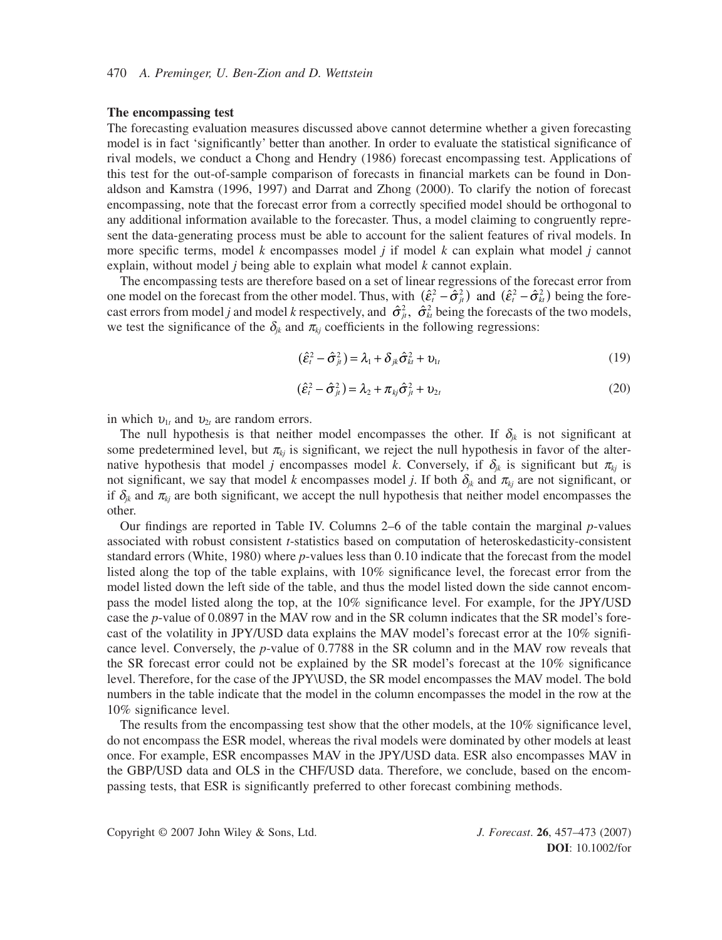#### **The encompassing test**

The forecasting evaluation measures discussed above cannot determine whether a given forecasting model is in fact 'significantly' better than another. In order to evaluate the statistical significance of rival models, we conduct a Chong and Hendry (1986) forecast encompassing test. Applications of this test for the out-of-sample comparison of forecasts in financial markets can be found in Donaldson and Kamstra (1996, 1997) and Darrat and Zhong (2000). To clarify the notion of forecast encompassing, note that the forecast error from a correctly specified model should be orthogonal to any additional information available to the forecaster. Thus, a model claiming to congruently represent the data-generating process must be able to account for the salient features of rival models. In more specific terms, model *k* encompasses model *j* if model *k* can explain what model *j* cannot explain, without model *j* being able to explain what model *k* cannot explain.

The encompassing tests are therefore based on a set of linear regressions of the forecast error from one model on the forecast from the other model. Thus, with  $(\hat{\epsilon}_t^2 - \hat{\sigma}_{\mu}^2)$  and  $(\hat{\epsilon}_t^2 - \hat{\sigma}_{\mu}^2)$  being the forecast errors from model *j* and model *k* respectively, and  $\hat{\sigma}_{jt}^2$ ,  $\hat{\sigma}_{kt}^2$  being the forecasts of the two models, we test the significance of the  $\delta_{ik}$  and  $\pi_{ki}$  coefficients in the following regressions:

$$
(\hat{\varepsilon}_t^2 - \hat{\sigma}_{jt}^2) = \lambda_1 + \delta_{jk}\hat{\sigma}_{kt}^2 + \upsilon_{1t}
$$
\n(19)

$$
(\hat{\varepsilon}_t^2 - \hat{\sigma}_{jt}^2) = \lambda_2 + \pi_{kj}\hat{\sigma}_{jt}^2 + \upsilon_{2t}
$$
\n(20)

in which  $v_{1t}$  and  $v_{2t}$  are random errors.

The null hypothesis is that neither model encompasses the other. If  $\delta_{jk}$  is not significant at some predetermined level, but  $\pi_{kj}$  is significant, we reject the null hypothesis in favor of the alternative hypothesis that model *j* encompasses model *k*. Conversely, if  $\delta_{ik}$  is significant but  $\pi_{ki}$  is not significant, we say that model *k* encompasses model *j*. If both  $\delta_{ik}$  and  $\pi_{ki}$  are not significant, or if  $\delta_{jk}$  and  $\pi_{kj}$  are both significant, we accept the null hypothesis that neither model encompasses the other.

Our findings are reported in Table IV. Columns 2–6 of the table contain the marginal *p*-values associated with robust consistent *t*-statistics based on computation of heteroskedasticity-consistent standard errors (White, 1980) where *p*-values less than 0.10 indicate that the forecast from the model listed along the top of the table explains, with 10% significance level, the forecast error from the model listed down the left side of the table, and thus the model listed down the side cannot encompass the model listed along the top, at the 10% significance level. For example, for the JPY/USD case the *p*-value of 0.0897 in the MAV row and in the SR column indicates that the SR model's forecast of the volatility in JPY/USD data explains the MAV model's forecast error at the 10% significance level. Conversely, the *p*-value of 0.7788 in the SR column and in the MAV row reveals that the SR forecast error could not be explained by the SR model's forecast at the 10% significance level. Therefore, for the case of the JPY\USD, the SR model encompasses the MAV model. The bold numbers in the table indicate that the model in the column encompasses the model in the row at the 10% significance level.

The results from the encompassing test show that the other models, at the 10% significance level, do not encompass the ESR model, whereas the rival models were dominated by other models at least once. For example, ESR encompasses MAV in the JPY/USD data. ESR also encompasses MAV in the GBP/USD data and OLS in the CHF/USD data. Therefore, we conclude, based on the encompassing tests, that ESR is significantly preferred to other forecast combining methods.

Copyright © 2007 John Wiley & Sons, Ltd. *J. Forecast*. **26**, 457–473 (2007)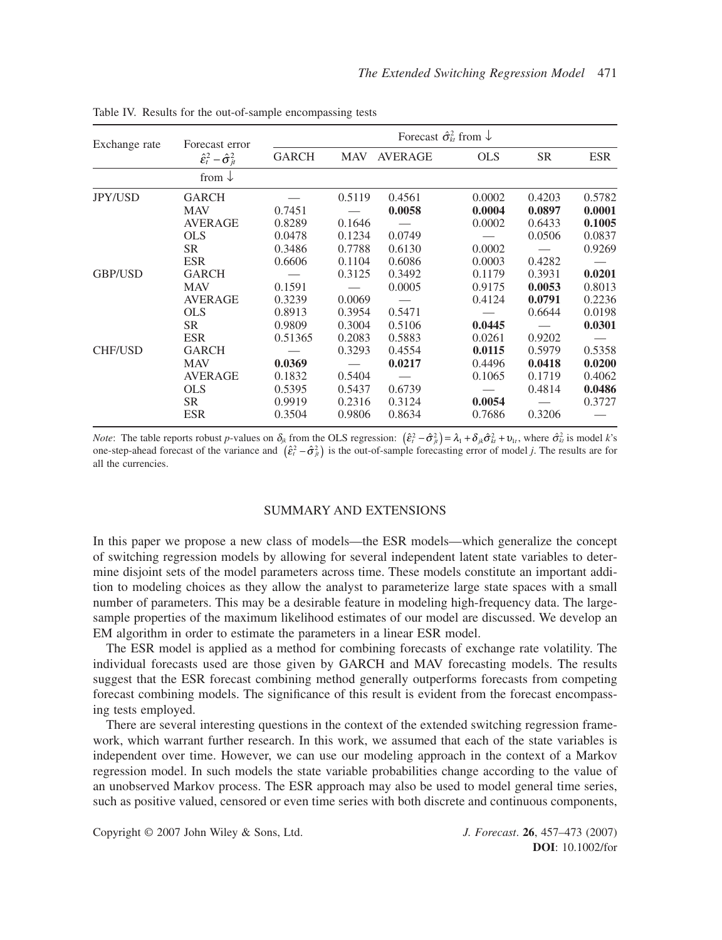| Exchange rate  | Forecast error                                             | Forecast $\hat{\sigma}_{k}^{2}$ from $\downarrow$ |                            |                            |                            |                                      |                                      |  |
|----------------|------------------------------------------------------------|---------------------------------------------------|----------------------------|----------------------------|----------------------------|--------------------------------------|--------------------------------------|--|
|                | $\hat{\epsilon}_t^2 - \hat{\sigma}_{it}^2$                 | <b>GARCH</b>                                      | <b>MAV</b>                 | <b>AVERAGE</b>             | <b>OLS</b>                 | <b>SR</b>                            | <b>ESR</b>                           |  |
|                | from $\downarrow$                                          |                                                   |                            |                            |                            |                                      |                                      |  |
| <b>JPY/USD</b> | <b>GARCH</b>                                               |                                                   | 0.5119                     | 0.4561                     | 0.0002                     | 0.4203                               | 0.5782                               |  |
|                | <b>MAV</b><br><b>AVERAGE</b>                               | 0.7451<br>0.8289                                  | 0.1646                     | 0.0058                     | 0.0004<br>0.0002           | 0.0897<br>0.6433                     | 0.0001<br>0.1005                     |  |
|                | <b>OLS</b><br><b>SR</b>                                    | 0.0478<br>0.3486                                  | 0.1234<br>0.7788           | 0.0749<br>0.6130           | 0.0002                     | 0.0506                               | 0.0837<br>0.9269                     |  |
|                | <b>ESR</b>                                                 | 0.6606                                            | 0.1104                     | 0.6086                     | 0.0003                     | 0.4282                               |                                      |  |
| <b>GBP/USD</b> | <b>GARCH</b><br><b>MAV</b><br><b>AVERAGE</b><br><b>OLS</b> | 0.1591<br>0.3239<br>0.8913                        | 0.3125<br>0.0069<br>0.3954 | 0.3492<br>0.0005<br>0.5471 | 0.1179<br>0.9175<br>0.4124 | 0.3931<br>0.0053<br>0.0791<br>0.6644 | 0.0201<br>0.8013<br>0.2236<br>0.0198 |  |
|                | <b>SR</b><br><b>ESR</b>                                    | 0.9809<br>0.51365                                 | 0.3004<br>0.2083           | 0.5106<br>0.5883           | 0.0445<br>0.0261           | 0.9202                               | 0.0301                               |  |
| <b>CHF/USD</b> | <b>GARCH</b><br><b>MAV</b>                                 | 0.0369                                            | 0.3293                     | 0.4554<br>0.0217           | 0.0115<br>0.4496           | 0.5979<br>0.0418                     | 0.5358<br>0.0200                     |  |
|                | <b>AVERAGE</b><br><b>OLS</b>                               | 0.1832<br>0.5395                                  | 0.5404<br>0.5437           | 0.6739                     | 0.1065                     | 0.1719<br>0.4814                     | 0.4062<br>0.0486                     |  |
|                | <b>SR</b><br><b>ESR</b>                                    | 0.9919<br>0.3504                                  | 0.2316<br>0.9806           | 0.3124<br>0.8634           | 0.0054<br>0.7686           | 0.3206                               | 0.3727                               |  |

Table IV. Results for the out-of-sample encompassing tests

*Note*: The table reports robust *p*-values on  $\delta_{jk}$  from the OLS regression:  $(\hat{\epsilon}_i^2 - \hat{\sigma}_{jk}^2) = \lambda_1 + \delta_{jk}\hat{\sigma}_{ki}^2 + v_{1i}$ , where  $\hat{\sigma}_{ki}^2$  is model *k*'s one-step-ahead forecast of the variance and  $(\hat{\epsilon}_i^2 - \hat{\sigma}_j^2)$  is the out-of-sample forecasting error of model *j*. The results are for all the currencies.

## SUMMARY AND EXTENSIONS

In this paper we propose a new class of models—the ESR models—which generalize the concept of switching regression models by allowing for several independent latent state variables to determine disjoint sets of the model parameters across time. These models constitute an important addition to modeling choices as they allow the analyst to parameterize large state spaces with a small number of parameters. This may be a desirable feature in modeling high-frequency data. The largesample properties of the maximum likelihood estimates of our model are discussed. We develop an EM algorithm in order to estimate the parameters in a linear ESR model.

The ESR model is applied as a method for combining forecasts of exchange rate volatility. The individual forecasts used are those given by GARCH and MAV forecasting models. The results suggest that the ESR forecast combining method generally outperforms forecasts from competing forecast combining models. The significance of this result is evident from the forecast encompassing tests employed.

There are several interesting questions in the context of the extended switching regression framework, which warrant further research. In this work, we assumed that each of the state variables is independent over time. However, we can use our modeling approach in the context of a Markov regression model. In such models the state variable probabilities change according to the value of an unobserved Markov process. The ESR approach may also be used to model general time series, such as positive valued, censored or even time series with both discrete and continuous components,

Copyright © 2007 John Wiley & Sons, Ltd. *J. Forecast*. **26**, 457–473 (2007)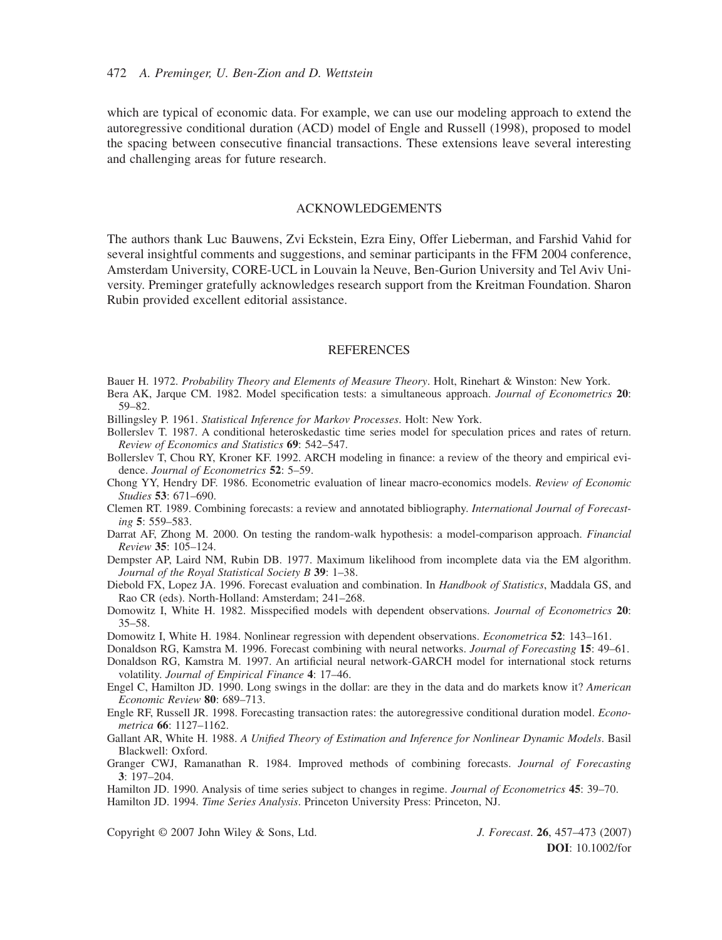which are typical of economic data. For example, we can use our modeling approach to extend the autoregressive conditional duration (ACD) model of Engle and Russell (1998), proposed to model the spacing between consecutive financial transactions. These extensions leave several interesting and challenging areas for future research.

# ACKNOWLEDGEMENTS

The authors thank Luc Bauwens, Zvi Eckstein, Ezra Einy, Offer Lieberman, and Farshid Vahid for several insightful comments and suggestions, and seminar participants in the FFM 2004 conference, Amsterdam University, CORE-UCL in Louvain la Neuve, Ben-Gurion University and Tel Aviv University. Preminger gratefully acknowledges research support from the Kreitman Foundation. Sharon Rubin provided excellent editorial assistance.

#### **REFERENCES**

- Bauer H. 1972. *Probability Theory and Elements of Measure Theory*. Holt, Rinehart & Winston: New York.
- Bera AK, Jarque CM. 1982. Model specification tests: a simultaneous approach. *Journal of Econometrics* **20**: 59–82.
- Billingsley P. 1961. *Statistical Inference for Markov Processes*. Holt: New York.
- Bollerslev T. 1987. A conditional heteroskedastic time series model for speculation prices and rates of return. *Review of Economics and Statistics* **69**: 542–547.
- Bollerslev T, Chou RY, Kroner KF. 1992. ARCH modeling in finance: a review of the theory and empirical evidence. *Journal of Econometrics* **52**: 5–59.
- Chong YY, Hendry DF. 1986. Econometric evaluation of linear macro-economics models. *Review of Economic Studies* **53**: 671–690.
- Clemen RT. 1989. Combining forecasts: a review and annotated bibliography. *International Journal of Forecasting* **5**: 559–583.
- Darrat AF, Zhong M. 2000. On testing the random-walk hypothesis: a model-comparison approach. *Financial Review* **35**: 105–124.
- Dempster AP, Laird NM, Rubin DB. 1977. Maximum likelihood from incomplete data via the EM algorithm. *Journal of the Royal Statistical Society B* **39**: 1–38.
- Diebold FX, Lopez JA. 1996. Forecast evaluation and combination. In *Handbook of Statistics*, Maddala GS, and Rao CR (eds). North-Holland: Amsterdam; 241–268.
- Domowitz I, White H. 1982. Misspecified models with dependent observations. *Journal of Econometrics* **20**: 35–58.
- Domowitz I, White H. 1984. Nonlinear regression with dependent observations. *Econometrica* **52**: 143–161.
- Donaldson RG, Kamstra M. 1996. Forecast combining with neural networks. *Journal of Forecasting* **15**: 49–61. Donaldson RG, Kamstra M. 1997. An artificial neural network-GARCH model for international stock returns
- volatility. *Journal of Empirical Finance* **4**: 17–46.
- Engel C, Hamilton JD. 1990. Long swings in the dollar: are they in the data and do markets know it? *American Economic Review* **80**: 689–713.
- Engle RF, Russell JR. 1998. Forecasting transaction rates: the autoregressive conditional duration model. *Econometrica* **66**: 1127–1162.
- Gallant AR, White H. 1988. *A Unified Theory of Estimation and Inference for Nonlinear Dynamic Models*. Basil Blackwell: Oxford.
- Granger CWJ, Ramanathan R. 1984. Improved methods of combining forecasts. *Journal of Forecasting* **3**: 197–204.
- Hamilton JD. 1990. Analysis of time series subject to changes in regime. *Journal of Econometrics* **45**: 39–70. Hamilton JD. 1994. *Time Series Analysis*. Princeton University Press: Princeton, NJ.

Copyright © 2007 John Wiley & Sons, Ltd. *J. Forecast*. **26**, 457–473 (2007)